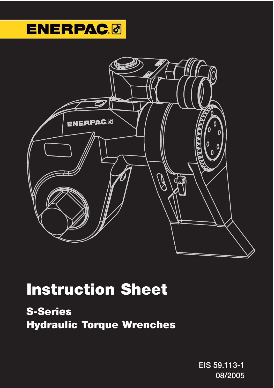## **ENERPAC.**



## **Instruction Sheet**

**S-Series Hydraulic Torque Wrenches**

> **EIS 59.113-1 08/2005**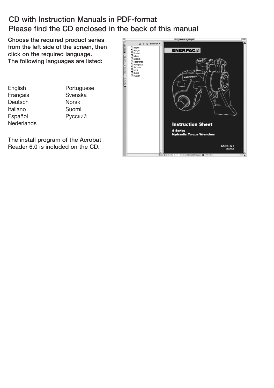#### **CD with Instruction Manuals in PDF-format Please find the CD enclosed in the back of this manual**

**Choose the required product series from the left side of the screen, then click on the required language. The following languages are listed:**

**English** Français Deutsch Italiano Español **Nederlands**  **Portuguese** Svenska Norsk Suomi PyccКИЙ

**The install program of the Acrobat Reader 6.0 is included on the CD.**

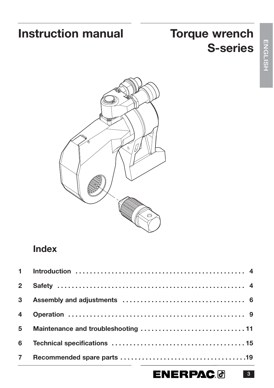### **Instruction manual Torque wrench**

# **S-series**



### **Index**

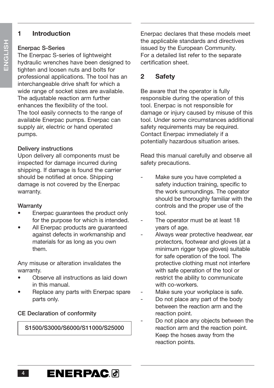#### **1 Introduction**

#### **Enerpac S-Series**

The Enerpac S-series of lightweight hydraulic wrenches have been designed to tighten and loosen nuts and bolts for professional applications. The tool has an interchangeable drive shaft for which a wide range of socket sizes are available. The adjustable reaction arm further enhances the flexibility of the tool. The tool easily connects to the range of available Enerpac pumps. Enerpac can supply air, electric or hand operated pumps.

#### **Delivery instructions**

Upon delivery all components must be inspected for damage incurred during shipping. If damage is found the carrier should be notified at once. Shipping damage is not covered by the Enerpac warranty.

#### **Warranty**

- Enerpac guarantees the product only for the purpose for which is intended.
- All Enerpac products are guaranteed against defects in workmanship and materials for as long as you own them.

Any misuse or alteration invalidates the warranty.

- Observe all instructions as laid down in this manual.
- Replace any parts with Enerpac spare parts only.

#### **CE Declaration of conformity**

**S1500/S3000/S6000/S11000/S25000**

Enerpac declares that these models meet the applicable standards and directives issued by the European Community. For a detailed list refer to the separate certification sheet.

#### **2 Safety**

Be aware that the operator is fully responsible during the operation of this tool. Enerpac is not responsible for damage or injury caused by misuse of this tool. Under some circumstances additional safety requirements may be required. Contact Enerpac immediately if a potentially hazardous situation arises.

Read this manual carefully and observe all safety precautions.

- Make sure you have completed a safety induction training, specific to the work surroundings. The operator should be thoroughly familiar with the controls and the proper use of the tool.
- The operator must be at least 18 years of age.
- Always wear protective headwear, ear protectors, footwear and gloves (at a minimum rigger type gloves) suitable for safe operation of the tool. The protective clothing must not interfere with safe operation of the tool or restrict the ability to communicate with co-workers.
- Make sure your workplace is safe.
- Do not place any part of the body between the reaction arm and the reaction point.
- Do not place any objects between the reaction arm and the reaction point. Keep the hoses away from the reaction points.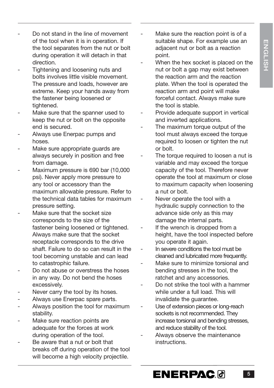- Do not stand in the line of movement of the tool when it is in operation. If the tool separates from the nut or bolt during operation it will detach in that direction.
- Tightening and loosening nuts and bolts involves little visible movement. The pressure and loads, however are extreme. Keep your hands away from the fastener being loosened or tightened.
- Make sure that the spanner used to keep the nut or bolt on the opposite end is secured.
- Always use Enerpac pumps and hoses.
- Make sure appropriate quards are always securely in position and free from damage.
- Maximum pressure is 690 bar (10,000 psi). Never apply more pressure to any tool or accessory than the maximum allowable pressure. Refer to the technical data tables for maximum pressure setting.
- Make sure that the socket size corresponds to the size of the fastener being loosened or tightened. Always make sure that the socket receptacle corresponds to the drive shaft. Failure to do so can result in the tool becoming unstable and can lead to catastrophic failure.
- Do not abuse or overstress the hoses in any way. Do not bend the hoses excessively.
- Never carry the tool by its hoses.
- Always use Enerpac spare parts.
- Always position the tool for maximum stability.
- Make sure reaction points are adequate for the forces at work during operation of the tool.
- Be aware that a nut or bolt that breaks off during operation of the tool will become a high velocity projectile.
- Make sure the reaction point is of a suitable shape. For example use an adjacent nut or bolt as a reaction point.
- When the hex socket is placed on the nut or bolt a gap may exist between the reaction arm and the reaction plate. When the tool is operated the reaction arm and point will make forceful contact. Always make sure the tool is stable.
- Provide adequate support in vertical and inverted applications.
- The maximum torque output of the tool must always exceed the torque required to loosen or tighten the nut or bolt.
- The torque required to loosen a nut is variable and may exceed the torque capacity of the tool. Therefore never operate the tool at maximum or close to maximum capacity when loosening a nut or bolt.
- Never operate the tool with a hydraulic supply connection to the advance side only as this may damage the internal parts.
- If the wrench is dropped from a height, have the tool inspected before you operate it again.
- In severe conditions the tool must be cleaned and lubricated more frequently.
- Make sure to minimize torsional and bending stresses in the tool, the ratchet and any accessories.
- Do not strike the tool with a hammer while under a full load. This will invalidate the guarantee.
- Use of extension pieces or long-reach sockets is not recommended. They increase torsional and bending stresses, and reduce stability of the tool.
- Always observe the maintenance instructions.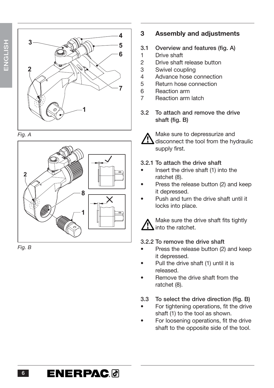

*Fig. A*



*Fig. B*

#### **3 Assembly and adjustments**

- **3.1 Overview and features (fig. A)**
- 1 Drive shaft
- 2 Drive shaft release button
- 3 Swivel coupling
- 4 Advance hose connection
- 5 Return hose connection
- 6 Reaction arm
- 7 Reaction arm latch
- **3.2 To attach and remove the drive shaft (fig. B)**



Make sure to depressurize and disconnect the tool from the hydraulic supply first.

#### **3.2.1 To attach the drive shaft**

- Insert the drive shaft (1) into the ratchet (8).
- Press the release button (2) and keep it depressed.
- Push and turn the drive shaft until it locks into place.



Make sure the drive shaft fits tightly

#### **3.2.2 To remove the drive shaft**

- Press the release button (2) and keep it depressed.
- Pull the drive shaft (1) until it is released.
- Remove the drive shaft from the ratchet (8).
- **3.3 To select the drive direction (fig. B)**
- For tightening operations, fit the drive shaft (1) to the tool as shown.
- For loosening operations, fit the drive shaft to the opposite side of the tool.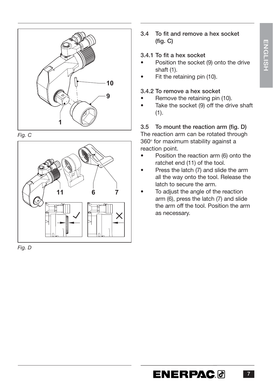

*Fig. C*





#### **3.4 To fit and remove a hex socket (fig. C)**

#### **3.4.1 To fit a hex socket**

- Position the socket (9) onto the drive shaft (1).
- Fit the retaining pin (10).

#### **3.4.2 To remove a hex socket**

- Remove the retaining pin (10).
- Take the socket (9) off the drive shaft  $(1).$

#### **3.5 To mount the reaction arm (fig. D)**

The reaction arm can be rotated through 360° for maximum stability against a reaction point.

- Position the reaction arm (6) onto the ratchet end (11) of the tool.
- Press the latch (7) and slide the arm all the way onto the tool. Release the latch to secure the arm.
- To adjust the angle of the reaction arm (6), press the latch (7) and slide the arm off the tool. Position the arm as necessary.

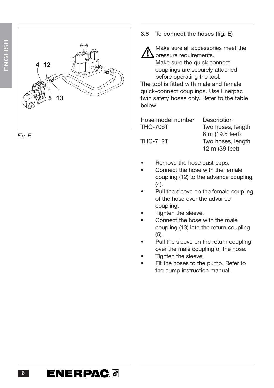

*Fig. E*

#### **3.6 To connect the hoses (fig. E)**



Make sure all accessories meet the pressure requirements. Make sure the quick connect couplings are securely attached

before operating the tool.

The tool is fitted with male and female quick-connect couplings. Use Enerpac twin safety hoses only. Refer to the table below.

Hose model number Description

THQ-706T Two hoses, length 6 m (19.5 feet) THQ-712T Two hoses, length 12 m (39 feet)

- Remove the hose dust caps.
- Connect the hose with the female coupling (12) to the advance coupling (4).
- Pull the sleeve on the female coupling of the hose over the advance coupling.
- Tighten the sleeve.
- Connect the hose with the male coupling (13) into the return coupling (5).
- Pull the sleeve on the return coupling over the male coupling of the hose.
- Tighten the sleeve.
- Fit the hoses to the pump. Refer to the pump instruction manual.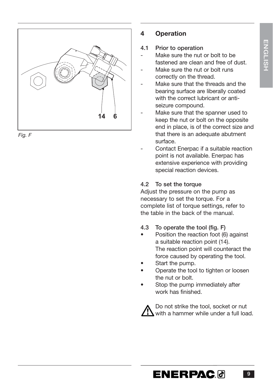

*Fig. F*

#### **4 Operation**

#### **4.1 Prior to operation**

- Make sure the nut or bolt to be fastened are clean and free of dust. Make sure the nut or bolt runs
- correctly on the thread.
- Make sure that the threads and the bearing surface are liberally coated with the correct lubricant or antiseizure compound.
- Make sure that the spanner used to keep the nut or bolt on the opposite end in place, is of the correct size and that there is an adequate abutment surface.
- Contact Enerpac if a suitable reaction point is not available. Enerpac has extensive experience with providing special reaction devices.

#### **4.2 To set the torque**

Adjust the pressure on the pump as necessary to set the torque. For a complete list of torque settings, refer to the table in the back of the manual.

- **4.3 To operate the tool (fig. F)**
- Position the reaction foot (6) against a suitable reaction point (14). The reaction point will counteract the force caused by operating the tool.
- Start the pump.
- Operate the tool to tighten or loosen the nut or bolt.
- Stop the pump immediately after work has finished.



Do not strike the tool, socket or nut with a hammer while under a full load.

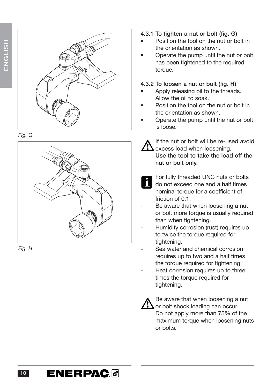







**4.3.1 To tighten a nut or bolt (fig. G)**

- Position the tool on the nut or bolt in the orientation as shown.
- Operate the pump until the nut or bolt has been tightened to the required torque.

#### **4.3.2 To loosen a nut or bolt (fig. H)**

- Apply releasing oil to the threads. Allow the oil to soak.
- Position the tool on the nut or bolt in the orientation as shown.
- Operate the pump until the nut or bolt is loose.



If the nut or bolt will be re-used avoid excess load when loosening. **Use the tool to take the load off the nut or bolt only.**



For fully threaded UNC nuts or bolts do not exceed one and a half times nominal torque for a coefficient of friction of 0.1.

- Be aware that when loosening a nut or bolt more torque is usually required than when tightening.
- Humidity corrosion (rust) requires up to twice the torque required for tightening.
- Sea water and chemical corrosion requires up to two and a half times the torque required for tightening.
- Heat corrosion requires up to three times the torque required for tightening.



Be aware that when loosening a nut or bolt shock loading can occur. Do not apply more than 75% of the maximum torque when loosening nuts or bolts.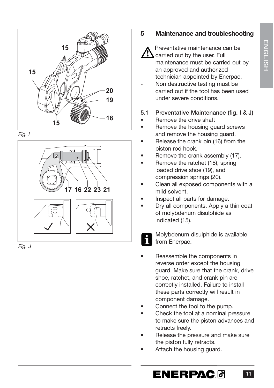

*Fig. I*



*Fig. J*

#### **5 Maintenance and troubleshooting**



Preventative maintenance can be carried out by the user. Full maintenance must be carried out by an approved and authorized technician appointed by Enerpac.

Non destructive testing must be carried out if the tool has been used under severe conditions.

#### **5.1 Preventative Maintenance (fig. I & J)**

- Remove the drive shaft
- Remove the housing guard screws and remove the housing quard.
- Release the crank pin (16) from the piston rod hook.
- Remove the crank assembly (17).
- Remove the ratchet (18), spring loaded drive shoe (19), and compression springs (20).
- Clean all exposed components with a mild solvent.
- Inspect all parts for damage.
- Dry all components. Apply a thin coat of molybdenum disulphide as indicated (15).



Molybdenum disulphide is available

- Reassemble the components in reverse order except the housing guard. Make sure that the crank, drive shoe, ratchet, and crank pin are correctly installed. Failure to install these parts correctly will result in component damage.
- Connect the tool to the pump.
- Check the tool at a nominal pressure to make sure the piston advances and retracts freely.
- Release the pressure and make sure the piston fully retracts.
- Attach the housing guard.

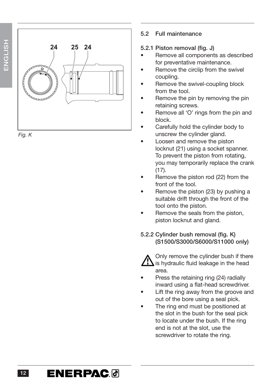| 25 24<br>24<br>J<br>Aman |
|--------------------------|
|--------------------------|

*Fig. K*

#### **5.2 Full maintenance**

#### **5.2.1 Piston removal (fig. J)**

- Remove all components as described for preventative maintenance.
- Remove the circlip from the swivel coupling.
- Remove the swivel-coupling block from the tool.
- Remove the pin by removing the pin retaining screws.
- Remove all 'O' rings from the pin and block.
- Carefully hold the cylinder body to unscrew the cylinder gland.
- Loosen and remove the piston locknut (21) using a socket spanner. To prevent the piston from rotating, you may temporarily replace the crank  $(17)$ .
- Remove the piston rod (22) from the front of the tool.
- Remove the piston (23) by pushing a suitable drift through the front of the tool onto the piston.
- Remove the seals from the piston, piston locknut and gland.

#### **5.2.2 Cylinder bush removal (fig. K) (S1500/S3000/S6000/S11000 only)**



Only remove the cylinder bush if there is hydraulic fluid leakage in the head area.

- Press the retaining ring (24) radially inward using a flat-head screwdriver.
- Lift the ring away from the groove and out of the bore using a seal pick.
- The ring end must be positioned at the slot in the bush for the seal pick to locate under the bush. If the ring end is not at the slot, use the screwdriver to rotate the ring.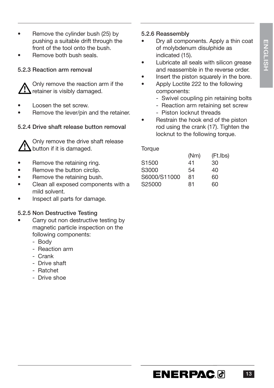- Remove the cylinder bush (25) by pushing a suitable drift through the front of the tool onto the bush.
- Remove both bush seals.

#### **5.2.3 Reaction arm removal**



Only remove the reaction arm if the retainer is visibly damaged.

- Loosen the set screw.
- Remove the lever/pin and the retainer.

#### **5.2.4 Drive shaft release button removal**

Only remove the drive shaft release button if it is damaged.

- Remove the retaining ring.
- Remove the button circlip.
- Remove the retaining bush.
- Clean all exposed components with a mild solvent.
- Inspect all parts for damage.

#### **5.2.5 Non Destructive Testing**

- Carry out non destructive testing by magnetic particle inspection on the following components:
	- Body
	- Reaction arm
	- Crank
	- Drive shaft
	- Ratchet
	- Drive shoe

#### **5.2.6 Reassembly**

- Dry all components. Apply a thin coat of molybdenum disulphide as indicated (15).
- Lubricate all seals with silicon grease and reassemble in the reverse order.
- Insert the piston squarely in the bore.
- Apply Loctite 222 to the following components:
	- Swivel coupling pin retaining bolts
	- Reaction arm retaining set screw
	- Piston locknut threads
- Restrain the hook end of the piston rod using the crank (17). Tighten the locknut to the following torque.

**Torque** 

| (Nm) | (Ft.Ibs) |
|------|----------|
| 41   | 30       |
| 54   | 40       |
| 81   | 60       |
| 81   | 60       |
|      |          |

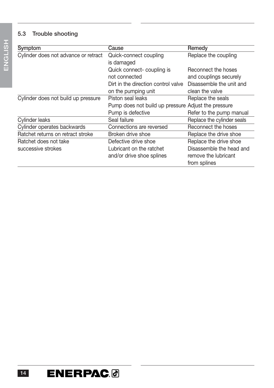#### **5.3 Trouble shooting**

| Symptom                              | Cause                                               | Remedy                     |  |  |
|--------------------------------------|-----------------------------------------------------|----------------------------|--|--|
| Cylinder does not advance or retract | Quick-connect coupling                              | Replace the coupling       |  |  |
|                                      | is damaged                                          |                            |  |  |
|                                      | Quick connect-coupling is                           | Reconnect the hoses        |  |  |
|                                      | not connected                                       | and couplings securely     |  |  |
|                                      | Dirt in the direction control valve                 | Disassemble the unit and   |  |  |
|                                      | on the pumping unit                                 | clean the valve            |  |  |
| Cylinder does not build up pressure  | Piston seal leaks                                   | Replace the seals          |  |  |
|                                      | Pump does not build up pressure Adjust the pressure |                            |  |  |
|                                      | Pump is defective                                   | Refer to the pump manual   |  |  |
| Cylinder leaks                       | Seal failure                                        | Replace the cylinder seals |  |  |
| Cylinder operates backwards          | Connections are reversed                            | Reconnect the hoses        |  |  |
| Ratchet returns on retract stroke    | Broken drive shoe                                   | Replace the drive shoe     |  |  |
| Ratchet does not take                | Defective drive shoe                                | Replace the drive shoe     |  |  |
| successive strokes                   | Lubricant on the ratchet                            | Disassemble the head and   |  |  |
|                                      | and/or drive shoe splines                           | remove the lubricant       |  |  |
|                                      |                                                     | from splines               |  |  |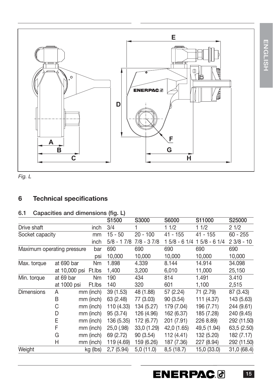

*Fig. L*

#### **6 Technical specifications**

#### **6.1 Capacities and dimensions (fig. L)**

|                            |               |      |           | S <sub>1500</sub> | S3000        | S6000         | S11000        | S25000      |
|----------------------------|---------------|------|-----------|-------------------|--------------|---------------|---------------|-------------|
| Drive shaft                |               | inch | 3/4       |                   | 1 1/2        | 11/2          | 21/2          |             |
| Socket capacity            |               |      | mm        | $15 - 50$         | $20 - 100$   | $41 - 155$    | $41 - 155$    | $60 - 255$  |
|                            |               |      | inch      | $5/8 - 17/8$      | $7/8 - 37/8$ | 1 5/8 - 6 1/4 | $15/8 - 61/4$ | $23/8 - 10$ |
| Maximum operating pressure |               |      | bar       | 690               | 690          | 690           | 690           | 690         |
|                            |               |      | psi       | 10,000            | 10,000       | 10,000        | 10,000        | 10,000      |
| Max. torque                | at 690 bar    |      | Nm        | 1.898             | 4.339        | 8.144         | 14.914        | 34.098      |
|                            | at 10,000 psi |      | Ft.lbs    | 1,400             | 3,200        | 6,010         | 11,000        | 25,150      |
| Min. torque                | at 69 bar     |      | Nm        | 190               | 434          | 814           | 1.491         | 3.410       |
|                            | at 1000 psi   |      | Ft.lbs    | 140               | 320          | 601           | 1,100         | 2,515       |
| <b>Dimensions</b>          | A             |      | mm (inch) | 39 (1.53)         | 48 (1.88)    | 57 (2.24)     | 71 (2.79)     | 87 (3.43)   |
|                            | B             |      | mm (inch) | 63 (2.48)         | 77 (3.03)    | 90 (3.54)     | 111 (4.37)    | 143 (5.63)  |
|                            | С             |      | mm (inch) | 110 (4.33)        | 134 (5.27)   | 179 (7.04)    | 196 (7.71)    | 244 (9.61)  |
|                            | D             |      | mm (inch) | 95 (3.74)         | 126 (4.96)   | 162 (6.37)    | 185 (7.28)    | 240 (9.45)  |
|                            | E             |      | mm (inch) | 136 (5.35)        | 172 (6.77)   | 201 (7.91)    | 226 8.89)     | 292 (11.50) |
|                            | F             |      | mm (inch) | $25,0$ (.98)      | 33,0 (1.29)  | 42,0 (1.65)   | 49,5 (1.94)   | 63,5 (2.50) |
|                            | G             |      | mm (inch) | 69 (2.72)         | 90 (3.54)    | 112 (4.41)    | 132 (5.20)    | 182 (7.17)  |
|                            | Н             |      | mm (inch) | 119 (4.69)        | 159 (6.26)   | 187 (7.36)    | 227 (8.94)    | 292 (11.50) |
| Weight                     |               |      | kg (lbs)  | 2,7(5.94)         | 5,0(11.0)    | 8,5 (18.7)    | 15,0 (33.0)   | 31,0 (68.4) |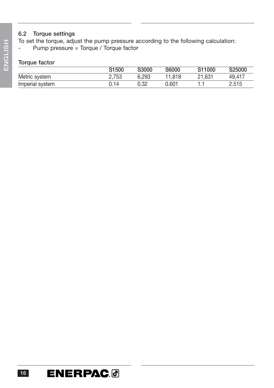#### **6.2 Torque settings**

To set the torque, adjust the pump pressure according to the following calculation: - Pump pressure = Torque / Torque factor

#### **Torque factor**

|                 | S1500 | S3000 | S6000  | S <sub>11000</sub> | S25000 |
|-----------------|-------|-------|--------|--------------------|--------|
| Metric system   | 2.753 | 6.293 | 11.818 | 21.631             | 49.417 |
| Imperial system | 0.14  | 0.32  | 0.601  |                    | 2.515  |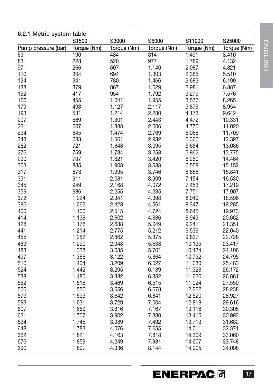|                     | ייי נעגיי<br>S1500 | S3000       | S6000       | S11000      | S25000      |
|---------------------|--------------------|-------------|-------------|-------------|-------------|
| Pump pressure (bar) | Torque (Nm)        | Torque (Nm) | Torque (Nm) | Torque (Nm) | Torque (Nm) |
| $\overline{69}$     | 190                | 434         | 814         | 1.491       | 3.410       |
| 83                  | 228                | 520         | 977         | 1.789       | 4.132       |
| 97                  | 266                | 607         | 1.140       | 2.087       | 4.821       |
| 110                 | 304                | 694         | 1.303       | 2.385       | 5.510       |
| 124                 | 341                | 780         | 1.466       | 2.683       | 6.199       |
| 138                 | 379                | 867         | 1.629       | 2.981       | 6.887       |
| 152                 | 417                | 954         | 1.792       | 3.279       | 7.576       |
| 166                 | 455                | 1.041       | 1.955       | 3.577       | 8.265       |
| 179                 | 493                | 1.127       | 2.117       | 3.875       | 8.954       |
| 193                 | 531                | 1.214       | 2.280       | 4.173       | 9.642       |
| 207                 | 569                | 1.301       | 2.443       | 4.472       | 10.331      |
| 221                 | 607                | 1.388       | 2.606       | 4.770       | 11.020      |
| 234                 | 645                | 1.474       | 2.769       | 5.068       | 11.709      |
| 248                 | 683                | 1.561       | 2.932       | 5.366       | 12.397      |
| 262                 | 721                | 1.648       | 3.095       | 5.664       | 13.086      |
| 276                 | 759                | 1.734       | 3.258       | 5.962       | 13.775      |
| 290                 | 797                | 1.821       | 3.420       | 6.260       | 14.464      |
| 303                 | 835                | 1.908       | 3.583       | 6.558       | 15.152      |
| 317                 | 873                | 1.995       | 3.746       | 6.856       | 15.841      |
| 331                 | 911                | 2.081       | 3.909       | 7.154       | 16.530      |
| 345                 | 949                | 2.168       | 4.072       | 7.453       | 17.219      |
| 359                 | 986                | 2.255       | 4.235       | 7.751       | 17.907      |
| 372                 | 1.024              | 2.341       | 4.398       | 8.049       | 18.596      |
| 386                 | 1.062              | 2.428       | 4.561       | 8.347       | 19.285      |
| 400                 | 1.100              | 2.515       | 4.724       | 8.645       | 19.973      |
| 414                 | 1.138              | 2.602       | 4.886       | 8.943       | 20.662      |
| 428                 | 1.176              | 2.688       | 5.049       | 9.241       | 21.351      |
| 441                 | 1.214              | 2.775       | 5.212       | 9.539       | 22.040      |
| 455                 | 1.252              | 2.862       | 5.375       | 9.837       | 22.728      |
| 469                 | 1.290              | 2.948       | 5.538       | 10.135      | 23.417      |
| 483                 | 1.328              | 3.035       | 5.701       | 10.434      | 24.106      |
| 497                 | 1.366              | 3.122       | 5.864       | 10.732      | 24.795      |
| 510                 | 1.404              | 3.209       | 6.027       | 11.030      | 25.483      |
| 524                 | 1.442              | 3.295       | 6.189       | 11.328      | 26.172      |
| 538                 | 1.480              | 3.382       | 6.352       | 11.626      | 26.861      |
| 552                 | 1.518              | 3.469       | 6.515       | 11.924      | 27.550      |
| 566                 | 1.556              | 3.556       | 6.678       | 12.222      | 28.238      |
| 579                 | 1.593              | 3.642       | 6.841       | 12.520      | 28.927      |
| 593                 | 1.631              | 3.729       | 7.004       | 12.818      | 29.616      |
| 607                 | 1.669              | 3.816       | 7.167       | 13.116      | 30.305      |
| 621                 | 1.707              | 3.902       | 7.330       | 13.415      | 30.993      |
| 634                 | 1.745              | 3.989       | 7.492       | 13.713      | 31.682      |
| 648                 | 1.783              | 4.076       | 7.655       | 14.011      | 32.371      |
| 662                 | 1.821              | 4.163       | 7.818       | 14.309      | 33.060      |
| 676                 | 1.859              | 4.249       | 7.981       | 14.607      | 33.748      |
| 690                 | 1.897              | 4.336       | 8.144       | 14.905      | 34.098      |

#### **6.2.1 Metric system table**

ENGLISH **ENGLISH**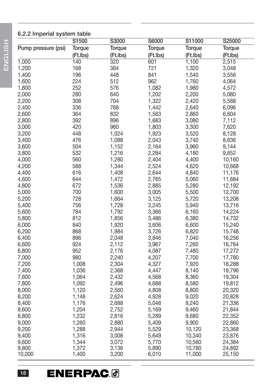#### **6.2.2 Imperial system table**

|                     | S1500    | S3000    | S6000    | S11000   | S25000        |
|---------------------|----------|----------|----------|----------|---------------|
| Pump pressure (psi) | Torque   | Torque   | Torque   | Torque   | <b>Torque</b> |
|                     | (Ft.Ibs) | (Ft.Ibs) | (Ft.Ibs) | (Ft.Ibs) | (Ft.Ibs)      |
| 1,000               | 140      | 320      | 601      | 1,100    | 2,515         |
| 1,200               | 168      | 384      | 721      | 1,320    | 3,048         |
| 1,400               | 196      | 448      | 841      | 1,540    | 3,556         |
| 1,600               | 224      | 512      | 962      | 1,760    | 4,064         |
| 1,800               | 252      | 576      | 1,082    | 1,980    | 4,572         |
| 2,000               | 280      | 640      | 1,202    | 2,200    | 5,080         |
| 2,200               | 308      | 704      | 1,322    | 2,420    | 5,588         |
| 2,400               | 336      | 768      | 1,442    | 2,640    | 6,096         |
| 2,600               | 364      | 832      | 1,563    | 2,860    | 6,604         |
| 2,800               | 392      | 896      | 1,683    | 3,080    | 7,112         |
| 3,000               | 420      | 960      | 1,803    | 3,300    | 7,620         |
| 3,200               | 448      | 1,024    | 1,923    | 3,520    | 8,128         |
| 3,400               | 476      | 1,088    | 2,043    | 3,740    | 8,636         |
| 3,600               | 504      | 1,152    | 2,164    | 3,960    | 9,144         |
| 3,800               | 532      | 1,216    | 2,284    | 4,180    | 9,652         |
| 4,000               | 560      | 1,280    | 2,404    | 4,400    | 10,160        |
| 4,200               | 588      | 1,344    | 2,524    | 4,620    | 10,668        |
| 4,400               | 616      | 1,408    | 2,644    | 4,840    | 11,176        |
| 4,600               | 644      | 1,472    | 2,765    | 5,060    | 11,684        |
| 4,800               | 672      | 1,536    | 2,885    | 5,280    | 12,192        |
| 5,000               | 700      | 1,600    | 3,005    | 5,500    | 12,700        |
| 5,200               | 728      | 1,664    | 3,125    | 5,720    | 13,208        |
| 5,400               | 756      | 1,728    | 3,245    | 5,940    | 13,716        |
| 5,600               | 784      | 1,792    | 3,366    | 6,160    | 14,224        |
| 5,800               | 812      | 1,856    | 3,486    | 6,380    | 14,732        |
| 6,000               | 840      | 1,920    | 3,606    | 6,600    | 15,240        |
| 6,200               | 868      | 1,984    | 3,726    | 6,820    | 15,748        |
| 6,400               | 896      | 2,048    | 3,846    | 7,040    | 16,256        |
| 6,600               | 924      | 2,112    | 3,967    | 7,260    | 16,764        |
| 6,800               | 952      | 2,176    | 4,087    | 7,480    | 17,272        |
| 7,000               | 980      | 2,240    | 4,207    | 7,700    | 17,780        |
| 7,200               | 1,008    | 2,304    | 4,327    | 7,920    | 18,288        |
| 7,400               | 1,036    | 2,368    | 4,447    | 8,140    | 18,796        |
| 7,600               | 1,064    | 2,432    | 4,568    | 8,360    | 19,304        |
| 7,800               | 1,092    | 2,496    | 4,688    | 8,580    | 19,812        |
| 8,000               | 1,120    | 2,560    | 4,808    | 8,800    | 20,320        |
| 8,200               | 1,148    | 2,624    | 4,928    | 9,020    | 20,828        |
| 8,400               | 1,176    | 2,688    | 5,048    | 9,240    | 21,336        |
| 8,600               | 1,204    | 2,752    | 5,169    | 9,460    | 21,844        |
| 8,800               | 1,232    | 2,816    | 5,289    | 9,680    | 22,352        |
| 9,000               | 1,260    | 2,880    | 5,409    | 9,900    | 22,860        |
| 9,200               | 1,288    | 2,944    | 5,529    | 10,120   | 23,368        |
| 9,400               | 1,316    | 3,008    | 5,649    | 10,340   | 23,876        |
| 9,600               | 1,344    | 3,072    | 5,770    | 10,560   | 24,384        |
| 9,800               | 1,372    | 3,136    | 5,890    | 10,780   | 24,892        |
| 10,000              | 1,400    | 3,200    | 6,010    | 11,000   | 25,150        |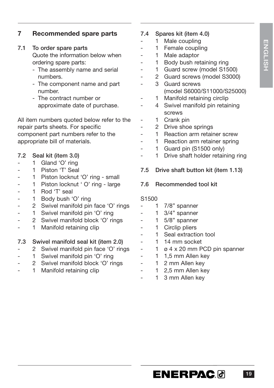#### **7 Recommended spare parts**

#### **7.1 To order spare parts**

Quote the information below when ordering spare parts:

- The assembly name and serial numbers.
- The component name and part number.
- The contract number or approximate date of purchase.

All item numbers quoted below refer to the repair parts sheets. For specific component part numbers refer to the appropriate bill of materials.

- **7.2 Seal kit (item 3.0)**
- 1 Gland 'O' ring
- 1 Piston 'T' Seal
- 1 Piston locknut 'O' ring small
- 1 Piston locknut ' O' ring large
- 1 Rod 'T' seal
- 1 Body bush 'O' ring
- 2 Swivel manifold pin face 'O' rings
- 1 Swivel manifold pin 'O' ring
- 2 Swivel manifold block 'O' rings
- 1 Manifold retaining clip

#### **7.3 Swivel manifold seal kit (item 2.0)**

- 2 Swivel manifold pin face 'O' rings
- 1 Swivel manifold pin 'O' ring
- 2 Swivel manifold block 'O' rings
- 1 Manifold retaining clip
- **7.4 Spares kit (item 4.0)**
	- 1 Male coupling
	- 1 Female coupling
	- 1 Male adaptor
	- 1 Body bush retaining ring
	- 1 Guard screw (model S1500)
	- 2 Guard screws (model S3000)
	- 3 Guard screws (model S6000/S11000/S25000)
	- 1 Manifold retaining circlip
- 4 Swivel manifold pin retaining screws
	- 1 Crank pin
- 2 Drive shoe springs
- 1 Reaction arm retainer screw
- 1 Reaction arm retainer spring
- 1 Guard pin (S1500 only)
- 1 Drive shaft holder retaining ring
- **7.5 Drive shaft button kit (item 1.13)**
- **7.6 Recommended tool kit**

#### S1500

- 1  $7/8$ " spanner
- $1 \quad 3/4"$  spanner
- $1$  5/8" spanner
- 1 Circlip pliers
- 1 Seal extraction tool
- 1 14 mm socket
- 1 ø 4 x 20 mm PCD pin spanner
- 1 1,5 mm Allen key
- 1 2 mm Allen key
- 1 2,5 mm Allen key
- 1 3 mm Allen key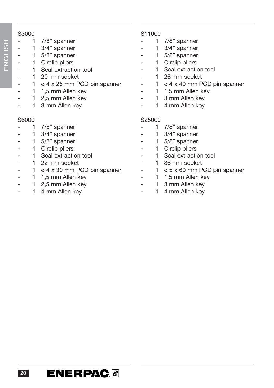#### S3000

- 1 7/8" spanner
- 1 3/4" spanner
	- 1 5/8" spanner
	- 1 Circlip pliers
	- 1 Seal extraction tool
- 1 20 mm socket
	- $1 \times 4 \times 25$  mm PCD pin spanner
- 1 1,5 mm Allen key
	- 1 2,5 mm Allen key
	- 1 3 mm Allen key

#### S6000

- 1 7/8" spanner
- 1 3/4" spanner
- 1 5/8" spanner
- 1 Circlip pliers
- 1 Seal extraction tool
- 1 22 mm socket
- $1 \times 4 \times 30$  mm PCD pin spanner
- 1 1,5 mm Allen key
- 1 2.5 mm Allen key
- 1 4 mm Allen key

#### S11000

- 1  $7/8$ " spanner
- 1 3/4" spanner
- $1$  5/8" spanner
- 1 Circlip pliers
- 1 Seal extraction tool
- 1 26 mm socket
- 1 ø 4 x 40 mm PCD pin spanner
- 1 1,5 mm Allen key
- 1 3 mm Allen key
- 1 4 mm Allen key

#### S25000

- 1 7/8" spanner
- 1 3/4" spanner
- 1 5/8" spanner
- 1 Circlip pliers
- 1 Seal extraction tool
- 1 36 mm socket
- 1 ø 5 x 60 mm PCD pin spanner
- 1 1,5 mm Allen key
- 1 3 mm Allen key
	- 1 4 mm Allen key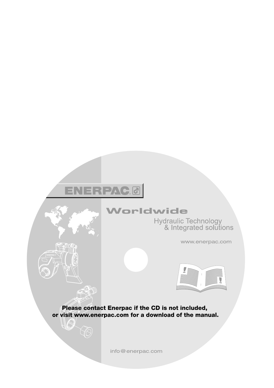### **ENERPAC®**

E

 $\bigotimes$ 

US

### Worldwide

Hydraulic Technology<br>& Integrated solutions

www.enerpac.com



**Please contact Enerpac if the CD is not included, or visit www.enerpac.com for a download of the manual.**

info@enerpac.com